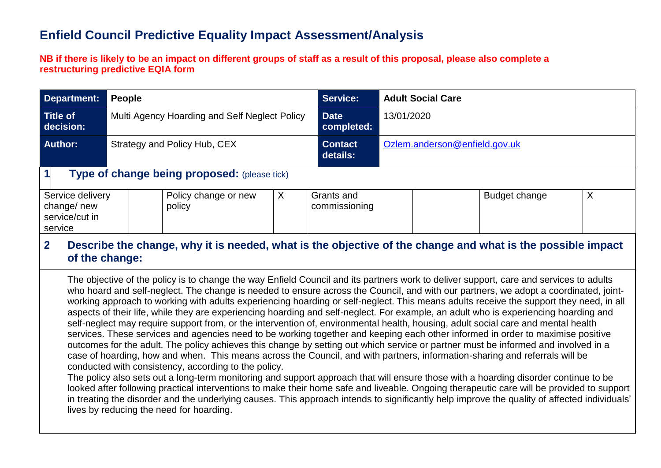## **Enfield Council Predictive Equality Impact Assessment/Analysis**

**NB if there is likely to be an impact on different groups of staff as a result of this proposal, please also complete a restructuring predictive EQIA form** 

| Department:                                                                                        | People                                                                                                    | <b>Service:</b><br><b>Adult Social Care</b>  |                             |                            |                               |   |  |  |  |  |
|----------------------------------------------------------------------------------------------------|-----------------------------------------------------------------------------------------------------------|----------------------------------------------|-----------------------------|----------------------------|-------------------------------|---|--|--|--|--|
| <b>Title of</b><br>Multi Agency Hoarding and Self Neglect Policy<br>decision:                      |                                                                                                           |                                              | <b>Date</b><br>completed:   | 13/01/2020                 |                               |   |  |  |  |  |
| <b>Author:</b>                                                                                     |                                                                                                           | Strategy and Policy Hub, CEX                 |                             | <b>Contact</b><br>details: | Ozlem.anderson@enfield.gov.uk |   |  |  |  |  |
| $\mathbf 1$                                                                                        |                                                                                                           | Type of change being proposed: (please tick) |                             |                            |                               |   |  |  |  |  |
| Service delivery<br>X<br>Policy change or new<br>change/new<br>policy<br>service/cut in<br>service |                                                                                                           |                                              | Grants and<br>commissioning |                            | Budget change                 | X |  |  |  |  |
| n.                                                                                                 | Describe the change, why it is needed what is the chiestive of the change and what is the neesible impost |                                              |                             |                            |                               |   |  |  |  |  |

#### **2. Describe the change, why it is needed, what is the objective of the change and what is the possible impact of the change:**

The objective of the policy is to change the way Enfield Council and its partners work to deliver support, care and services to adults who hoard and self-neglect. The change is needed to ensure across the Council, and with our partners, we adopt a coordinated, jointworking approach to working with adults experiencing hoarding or self-neglect. This means adults receive the support they need, in all aspects of their life, while they are experiencing hoarding and self-neglect. For example, an adult who is experiencing hoarding and self-neglect may require support from, or the intervention of, environmental health, housing, adult social care and mental health services. These services and agencies need to be working together and keeping each other informed in order to maximise positive outcomes for the adult. The policy achieves this change by setting out which service or partner must be informed and involved in a case of hoarding, how and when. This means across the Council, and with partners, information-sharing and referrals will be conducted with consistency, according to the policy.

The policy also sets out a long-term monitoring and support approach that will ensure those with a hoarding disorder continue to be looked after following practical interventions to make their home safe and liveable. Ongoing therapeutic care will be provided to support in treating the disorder and the underlying causes. This approach intends to significantly help improve the quality of affected individuals' lives by reducing the need for hoarding.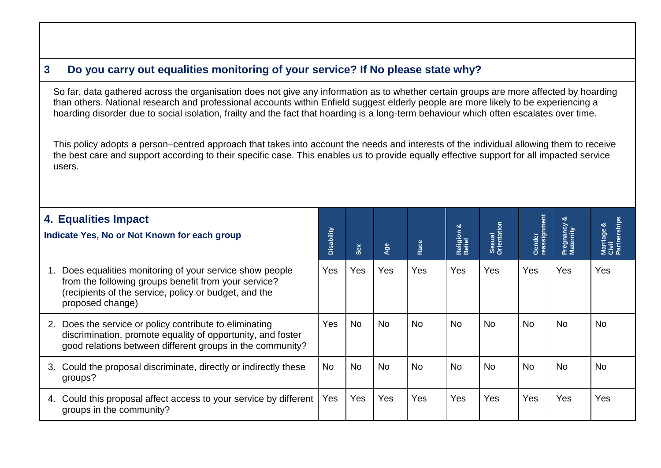## **3. Do you carry out equalities monitoring of your service? If No please state why?**

So far, data gathered across the organisation does not give any information as to whether certain groups are more affected by hoarding than others. National research and professional accounts within Enfield suggest elderly people are more likely to be experiencing a hoarding disorder due to social isolation, frailty and the fact that hoarding is a long-term behaviour which often escalates over time.

This policy adopts a person–centred approach that takes into account the needs and interests of the individual allowing them to receive the best care and support according to their specific case. This enables us to provide equally effective support for all impacted service users.

| 4. Equalities Impact<br>Indicate Yes, No or Not Known for each group |                                                                                                                                                                                             | Disability | Sex       | Age       | Race       | Religion &<br>Belief | Sexual<br>Orientation | Gender<br>reassignment | Pregnancy<br>Maternity | Marriage &<br>Civil<br>Partnerships |
|----------------------------------------------------------------------|---------------------------------------------------------------------------------------------------------------------------------------------------------------------------------------------|------------|-----------|-----------|------------|----------------------|-----------------------|------------------------|------------------------|-------------------------------------|
| 1.                                                                   | Does equalities monitoring of your service show people<br>from the following groups benefit from your service?<br>(recipients of the service, policy or budget, and the<br>proposed change) | Yes        | Yes       | Yes       | <b>Yes</b> | Yes                  | <b>Yes</b>            | Yes                    | <b>Yes</b>             | Yes                                 |
|                                                                      | 2. Does the service or policy contribute to eliminating<br>discrimination, promote equality of opportunity, and foster<br>good relations between different groups in the community?         | Yes        | <b>No</b> | <b>No</b> | <b>No</b>  | <b>No</b>            | <b>No</b>             | <b>No</b>              | <b>No</b>              | <b>No</b>                           |
| 3.                                                                   | Could the proposal discriminate, directly or indirectly these<br>groups?                                                                                                                    | <b>No</b>  | <b>No</b> | <b>No</b> | <b>No</b>  | <b>No</b>            | <b>No</b>             | <b>No</b>              | <b>No</b>              | <b>No</b>                           |
| 4.                                                                   | Could this proposal affect access to your service by different<br>groups in the community?                                                                                                  | Yes        | Yes       | Yes       | <b>Yes</b> | Yes                  | Yes                   | Yes                    | <b>Yes</b>             | Yes                                 |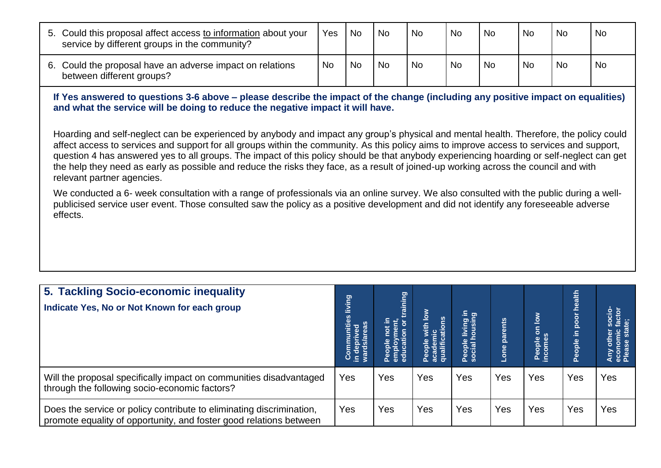| 5. Could this proposal affect access to information about your<br>service by different groups in the community? | Yes       | <b>No</b> | <b>No</b> | l No | <b>No</b> | <b>No</b> | <b>No</b> | <b>No</b> | <b>No</b> |
|-----------------------------------------------------------------------------------------------------------------|-----------|-----------|-----------|------|-----------|-----------|-----------|-----------|-----------|
| 6. Could the proposal have an adverse impact on relations<br>between different groups?                          | <b>No</b> | <b>No</b> | <b>No</b> | ' No | <b>No</b> | <b>No</b> | <b>No</b> | <b>Nc</b> | <b>No</b> |

**If Yes answered to questions 3-6 above – please describe the impact of the change (including any positive impact on equalities) and what the service will be doing to reduce the negative impact it will have.** 

Hoarding and self-neglect can be experienced by anybody and impact any group's physical and mental health. Therefore, the policy could affect access to services and support for all groups within the community. As this policy aims to improve access to services and support, question 4 has answered yes to all groups. The impact of this policy should be that anybody experiencing hoarding or self-neglect can get the help they need as early as possible and reduce the risks they face, as a result of joined-up working across the council and with relevant partner agencies.

We conducted a 6- week consultation with a range of professionals via an online survey. We also consulted with the public during a wellpublicised service user event. Those consulted saw the policy as a positive development and did not identify any foreseeable adverse effects.

| 5. Tackling Socio-economic inequality<br>Indicate Yes, No or Not Known for each group                                                      | living<br>Communities<br>in deprived<br>wards/areas | aining<br>ment,<br>$\overline{5}$<br>People I<br>employr<br>educatio | th low<br>ons<br>Peopl<br>acade<br>qualif | living in<br>nousing<br>People<br>social I | Lone parents | $\sum_{i=1}^{\infty}$<br>$\overline{\mathbf{5}}$<br>People<br>incomes | ealth<br>č<br>poor<br>Ξ.<br>People | <b>DES</b><br>SES<br><b>Participal</b><br>Any<br>econe |
|--------------------------------------------------------------------------------------------------------------------------------------------|-----------------------------------------------------|----------------------------------------------------------------------|-------------------------------------------|--------------------------------------------|--------------|-----------------------------------------------------------------------|------------------------------------|--------------------------------------------------------|
| Will the proposal specifically impact on communities disadvantaged<br>through the following socio-economic factors?                        | Yes                                                 | Yes                                                                  | Yes                                       | Yes                                        | Yes          | Yes                                                                   | Yes                                | Yes                                                    |
| Does the service or policy contribute to eliminating discrimination,<br>promote equality of opportunity, and foster good relations between | Yes                                                 | Yes                                                                  | Yes                                       | Yes                                        | Yes          | Yes                                                                   | Yes                                | Yes                                                    |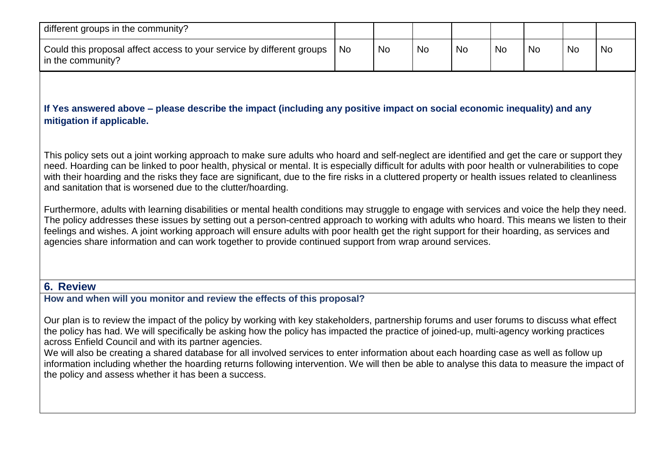| different groups in the community?                                                         |           |           |           |           |           |           |           |           |
|--------------------------------------------------------------------------------------------|-----------|-----------|-----------|-----------|-----------|-----------|-----------|-----------|
| Could this proposal affect access to your service by different groups<br>in the community? | <b>No</b> | <b>No</b> | <b>No</b> | <b>No</b> | <b>No</b> | <b>No</b> | <b>Nc</b> | <b>No</b> |

#### **If Yes answered above – please describe the impact (including any positive impact on social economic inequality) and any mitigation if applicable.**

This policy sets out a joint working approach to make sure adults who hoard and self-neglect are identified and get the care or support they need. Hoarding can be linked to poor health, physical or mental. It is especially difficult for adults with poor health or vulnerabilities to cope with their hoarding and the risks they face are significant, due to the fire risks in a cluttered property or health issues related to cleanliness and sanitation that is worsened due to the clutter/hoarding.

Furthermore, adults with learning disabilities or mental health conditions may struggle to engage with services and voice the help they need. The policy addresses these issues by setting out a person-centred approach to working with adults who hoard. This means we listen to their feelings and wishes. A joint working approach will ensure adults with poor health get the right support for their hoarding, as services and agencies share information and can work together to provide continued support from wrap around services.

### **6. Review**

**How and when will you monitor and review the effects of this proposal?**

Our plan is to review the impact of the policy by working with key stakeholders, partnership forums and user forums to discuss what effect the policy has had. We will specifically be asking how the policy has impacted the practice of joined-up, multi-agency working practices across Enfield Council and with its partner agencies.

We will also be creating a shared database for all involved services to enter information about each hoarding case as well as follow up information including whether the hoarding returns following intervention. We will then be able to analyse this data to measure the impact of the policy and assess whether it has been a success.